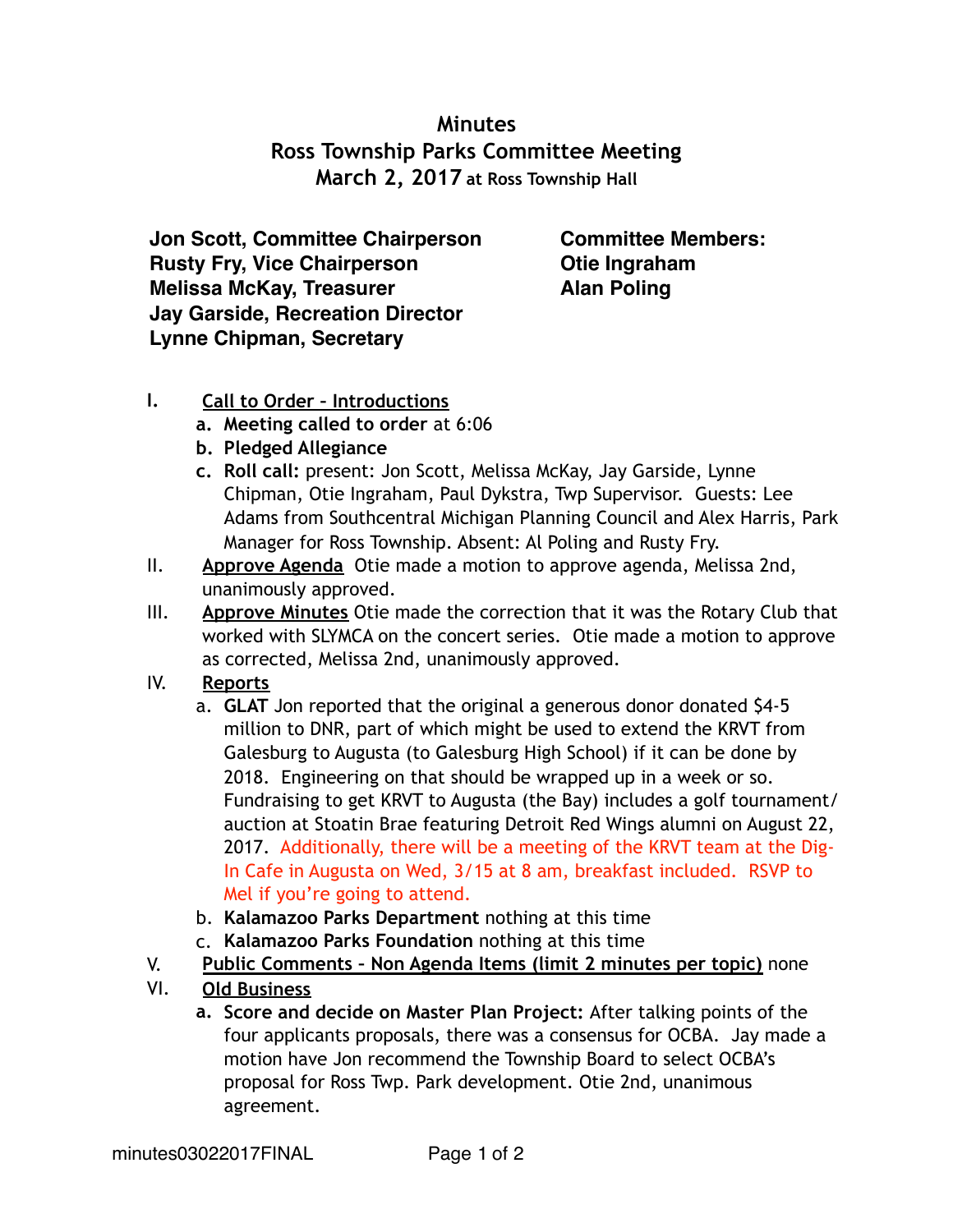## **Minutes Ross Township Parks Committee Meeting March 2, 2017 at Ross Township Hall**

**Jon Scott, Committee Chairperson Rusty Fry, Vice Chairperson Melissa McKay, Treasurer Jay Garside, Recreation Director Lynne Chipman, Secretary**

**Committee Members: Otie Ingraham Alan Poling**

## **I. Call to Order – Introductions**

- **a. Meeting called to order** at 6:06
- **b. Pledged Allegiance**
- **c. Roll call:** present: Jon Scott, Melissa McKay, Jay Garside, Lynne Chipman, Otie Ingraham, Paul Dykstra, Twp Supervisor. Guests: Lee Adams from Southcentral Michigan Planning Council and Alex Harris, Park Manager for Ross Township. Absent: Al Poling and Rusty Fry.
- II. **Approve Agenda** Otie made a motion to approve agenda, Melissa 2nd, unanimously approved.
- III. **Approve Minutes** Otie made the correction that it was the Rotary Club that worked with SLYMCA on the concert series. Otie made a motion to approve as corrected, Melissa 2nd, unanimously approved.

## IV. **Reports**

- a. **GLAT** Jon reported that the original a generous donor donated \$4-5 million to DNR, part of which might be used to extend the KRVT from Galesburg to Augusta (to Galesburg High School) if it can be done by 2018. Engineering on that should be wrapped up in a week or so. Fundraising to get KRVT to Augusta (the Bay) includes a golf tournament/ auction at Stoatin Brae featuring Detroit Red Wings alumni on August 22, 2017. Additionally, there will be a meeting of the KRVT team at the Dig-In Cafe in Augusta on Wed, 3/15 at 8 am, breakfast included. RSVP to Mel if you're going to attend.
- b. **Kalamazoo Parks Department** nothing at this time
- c. **Kalamazoo Parks Foundation** nothing at this time
- V. **Public Comments Non Agenda Items (limit 2 minutes per topic)** none
- VI. **Old Business**
	- **a. Score and decide on Master Plan Project:** After talking points of the four applicants proposals, there was a consensus for OCBA. Jay made a motion have Jon recommend the Township Board to select OCBA's proposal for Ross Twp. Park development. Otie 2nd, unanimous agreement.